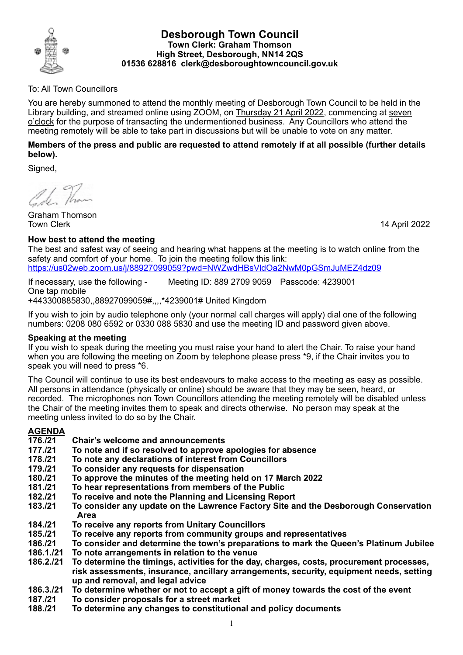

### **Desborough Town Council Town Clerk: Graham Thomson High Street, Desborough, NN14 2QS 01536 628816 clerk@desboroughtowncouncil.gov.uk**

### To: All Town Councillors

You are hereby summoned to attend the monthly meeting of Desborough Town Council to be held in the Library building, and streamed online using ZOOM, on Thursday 21 April 2022, commencing at seven o'clock for the purpose of transacting the undermentioned business. Any Councillors who attend the meeting remotely will be able to take part in discussions but will be unable to vote on any matter.

### **Members of the press and public are requested to attend remotely if at all possible (further details below).**

Signed,

16. Than

Graham Thomson Town Clerk 14 April 2022

## **How best to attend the meeting**

The best and safest way of seeing and hearing what happens at the meeting is to watch online from the safety and comfort of your home. To join the meeting follow this link:

https://us02web.zoom.us/j/88927099059?pwd=NWZwdHBsVldOa2NwM0pGSmJuMEZ4dz09

If necessary, use the following - Meeting ID: 889 2709 9059 Passcode: 4239001 One tap mobile +443300885830,,88927099059#,,,,\*4239001# United Kingdom

If you wish to join by audio telephone only (your normal call charges will apply) dial one of the following numbers: 0208 080 6592 or 0330 088 5830 and use the meeting ID and password given above.

### **Speaking at the meeting**

If you wish to speak during the meeting you must raise your hand to alert the Chair. To raise your hand when you are following the meeting on Zoom by telephone please press \*9, if the Chair invites you to speak you will need to press \*6.

The Council will continue to use its best endeavours to make access to the meeting as easy as possible. All persons in attendance (physically or online) should be aware that they may be seen, heard, or recorded. The microphones non Town Councillors attending the meeting remotely will be disabled unless the Chair of the meeting invites them to speak and directs otherwise. No person may speak at the meeting unless invited to do so by the Chair.

# **AGENDA**

- **176./21 Chair's welcome and announcements**
- **177./21 To note and if so resolved to approve apologies for absence**
- **178./21 To note any declarations of interest from Councillors**
- **179./21 To consider any requests for dispensation**
- **180./21 To approve the minutes of the meeting held on 17 March 2022**
- **181./21 To hear representations from members of the Public**
- **182./21 To receive and note the Planning and Licensing Report**
- **183./21 To consider any update on the Lawrence Factory Site and the Desborough Conservation Area**
- **184./21 To receive any reports from Unitary Councillors**
- **185./21 To receive any reports from community groups and representatives**
- **186./21 To consider and determine the town's preparations to mark the Queen's Platinum Jubilee**
- **186.1./21 To note arrangements in relation to the venue**
- **186.2./21 To determine the timings, activities for the day, charges, costs, procurement processes, risk assessments, insurance, ancillary arrangements, security, equipment needs, setting up and removal, and legal advice**
- **186.3./21 To determine whether or not to accept a gift of money towards the cost of the event**
- **187./21 To consider proposals for a street market**
- **188./21 To determine any changes to constitutional and policy documents**